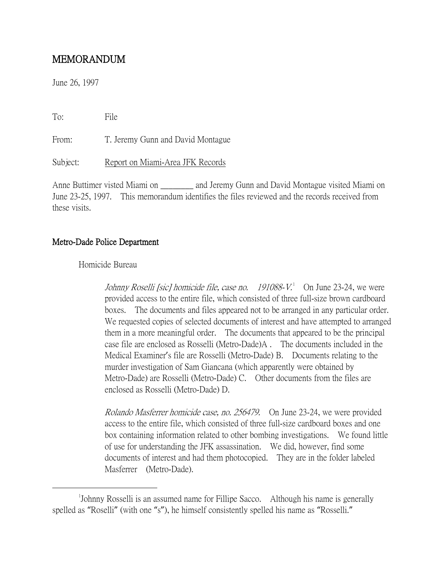# MEMORANDUM

June 26, 1997

To: File From: T. Jeremy Gunn and David Montague Subject: Report on Miami-Area JFK Records

Anne Buttimer visted Miami on and Jeremy Gunn and David Montague visited Miami on June 23-25, 1997. This memorandum identifies the files reviewed and the records received from these visits.

# Metro-Dade Police Department

Homicide Bureau

Johnny Roselli [sic] homicide file, case no. [1](#page-0-0)91088- $V^1$  On June 23-24, we were provided access to the entire file, which consisted of three full-size brown cardboard boxes. The documents and files appeared not to be arranged in any particular order. We requested copies of selected documents of interest and have attempted to arranged them in a more meaningful order. The documents that appeared to be the principal case file are enclosed as Rosselli (Metro-Dade)A . The documents included in the Medical Examiner's file are Rosselli (Metro-Dade) B. Documents relating to the murder investigation of Sam Giancana (which apparently were obtained by Metro-Dade) are Rosselli (Metro-Dade) C. Other documents from the files are enclosed as Rosselli (Metro-Dade) D.

Rolando Masferrer homicide case, no. 256479. On June 23-24, we were provided access to the entire file, which consisted of three full-size cardboard boxes and one box containing information related to other bombing investigations. We found little of use for understanding the JFK assassination. We did, however, find some documents of interest and had them photocopied. They are in the folder labeled Masferrer (Metro-Dade).

<span id="page-0-0"></span> $\overline{\phantom{a}}$ Johnny Rosselli is an assumed name for Fillipe Sacco. Although his name is generally spelled as "Roselli" (with one "s"), he himself consistently spelled his name as "Rosselli."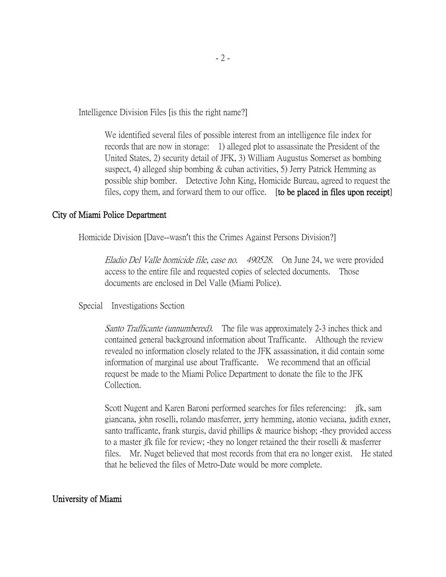Intelligence Division Files [is this the right name?]

We identified several files of possible interest from an intelligence file index for records that are now in storage: 1) alleged plot to assassinate the President of the United States, 2) security detail of JFK, 3) William Augustus Somerset as bombing suspect, 4) alleged ship bombing & cuban activities, 5) Jerry Patrick Hemming as possible ship bomber. Detective John King, Homicide Bureau, agreed to request the files, copy them, and forward them to our office. [to be placed in files upon receipt]

### City of Miami Police Department

Homicide Division [Dave--wasn't this the Crimes Against Persons Division?]

Eladio Del Valle homicide file, case no. 490528. On June 24, we were provided access to the entire file and requested copies of selected documents. Those documents are enclosed in Del Valle (Miami Police).

Special Investigations Section

Santo Trafficante (unnumbered). The file was approximately 2-3 inches thick and contained general background information about Trafficante. Although the review revealed no information closely related to the JFK assassination, it did contain some information of marginal use about Trafficante. We recommend that an official request be made to the Miami Police Department to donate the file to the JFK Collection.

Scott Nugent and Karen Baroni performed searches for files referencing: jfk, sam giancana, john roselli, rolando masferrer, jerry hemming, atonio veciana, judith exner, santo trafficante, frank sturgis, david phillips & maurice bishop; -they provided access to a master jfk file for review; -they no longer retained the their roselli & masferrer files. Mr. Nuget believed that most records from that era no longer exist. He stated that he believed the files of Metro-Date would be more complete.

#### University of Miami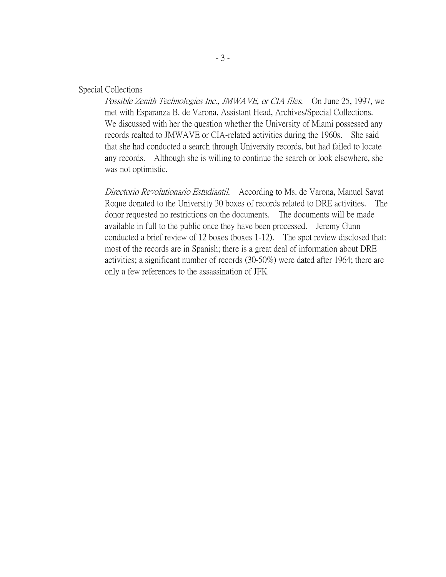#### Special Collections

Possible Zenith Technologies Inc., JMWAVE, or CIA files. On June 25, 1997, we met with Esparanza B. de Varona, Assistant Head, Archives/Special Collections. We discussed with her the question whether the University of Miami possessed any records realted to JMWAVE or CIA-related activities during the 1960s. She said that she had conducted a search through University records, but had failed to locate any records. Although she is willing to continue the search or look elsewhere, she was not optimistic.

Directorio Revolutionario Estudiantil. According to Ms. de Varona, Manuel Savat Roque donated to the University 30 boxes of records related to DRE activities. The donor requested no restrictions on the documents. The documents will be made available in full to the public once they have been processed. Jeremy Gunn conducted a brief review of 12 boxes (boxes 1-12). The spot review disclosed that: most of the records are in Spanish; there is a great deal of information about DRE activities; a significant number of records (30-50%) were dated after 1964; there are only a few references to the assassination of JFK